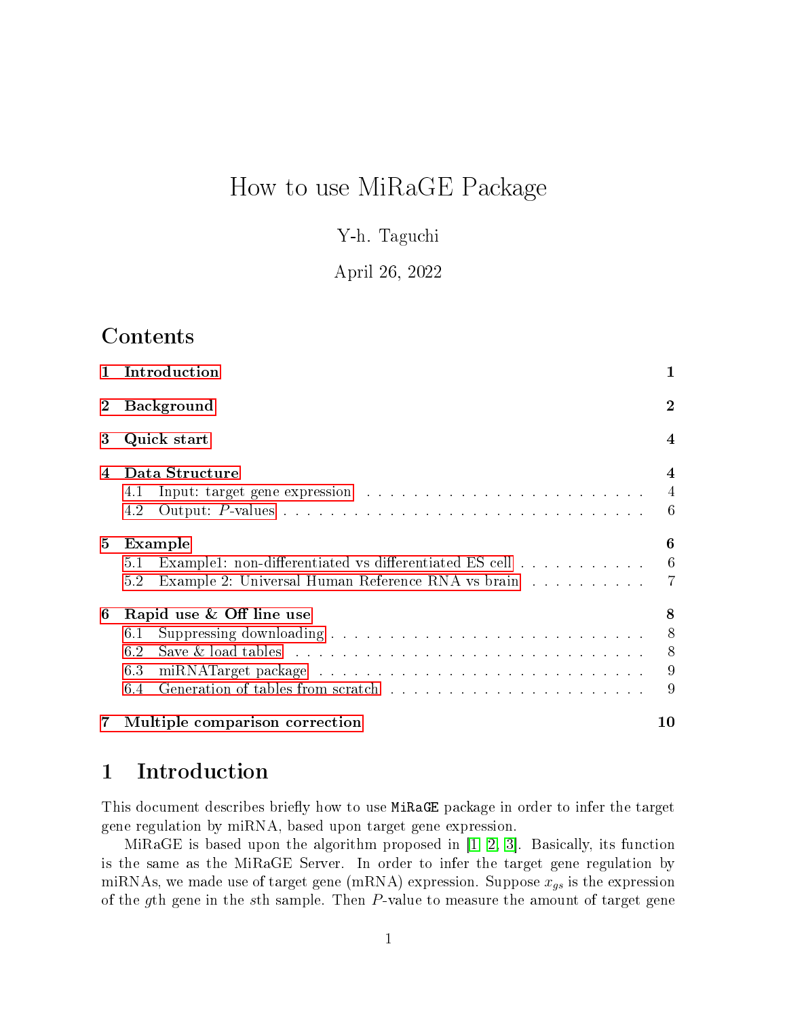# How to use MiRaGE Package

Y-h. Taguchi

April 26, 2022

## **Contents**

| $\mathbf{1}$ | Introduction                                                                                                                                                                                    | 1                                               |
|--------------|-------------------------------------------------------------------------------------------------------------------------------------------------------------------------------------------------|-------------------------------------------------|
|              | <b>Background</b>                                                                                                                                                                               | $\bf{2}$                                        |
| 3            | Quick start                                                                                                                                                                                     | 4                                               |
| 4            | Data Structure<br>4.1<br>4.2                                                                                                                                                                    | $\overline{\mathcal{A}}$<br>$\overline{4}$<br>6 |
| 5            | Example<br>Example1: non-differentiated vs differentiated ES cell<br>5.1<br>Example 2: Universal Human Reference RNA vs brain<br>5.2                                                            | 6<br>6<br>$\overline{7}$                        |
| 6            | Rapid use & Off line use<br>6.1<br>Save & load tables $\dots \dots \dots \dots \dots \dots \dots \dots \dots \dots \dots \dots \dots$<br>6.2<br>6.3<br>Generation of tables from scratch<br>6.4 | 8<br>8<br>8<br>9<br>9                           |
| 7            | Multiple comparison correction                                                                                                                                                                  | 10                                              |

### <span id="page-0-0"></span>1 Introduction

This document describes briefly how to use MiRaGE package in order to infer the target gene regulation by miRNA, based upon target gene expression.

MiRaGE is based upon the algorithm proposed in  $[1, 2, 3]$  $[1, 2, 3]$  $[1, 2, 3]$ . Basically, its function is the same as the MiRaGE Server. In order to infer the target gene regulation by miRNAs, we made use of target gene (mRNA) expression. Suppose  $x_{gs}$  is the expression of the gth gene in the sth sample. Then P-value to measure the amount of target gene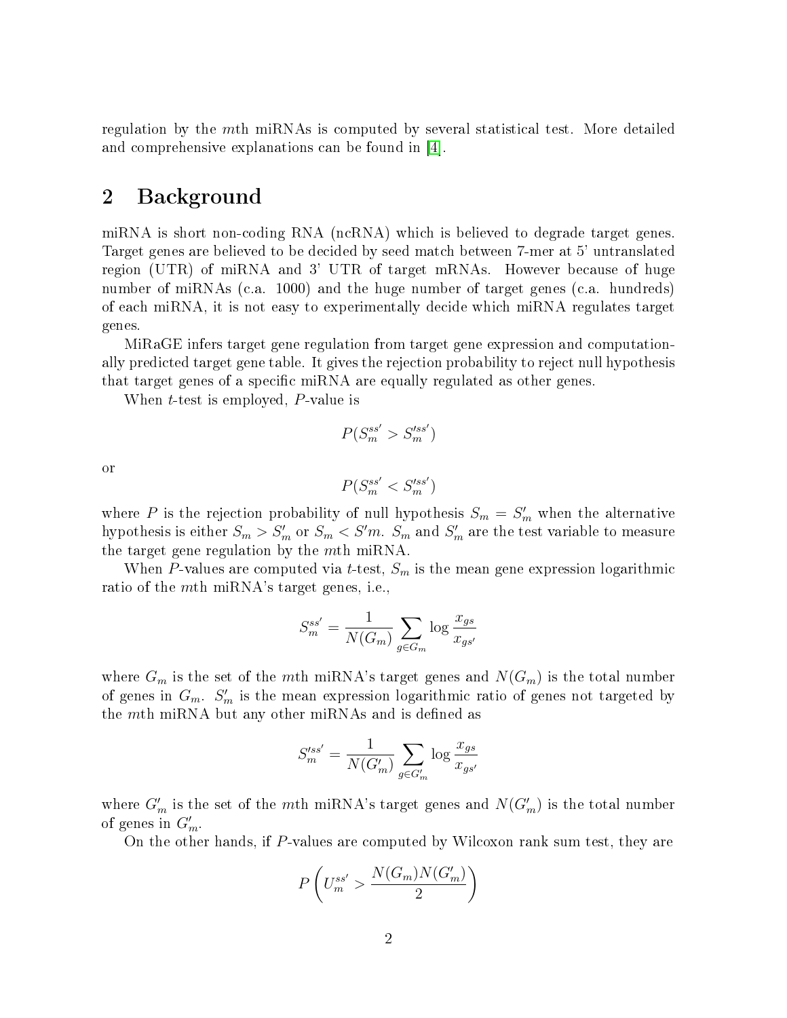regulation by the mth miRNAs is computed by several statistical test. More detailed and comprehensive explanations can be found in [\[4\]](#page-14-3).

### <span id="page-1-0"></span>2 Background

miRNA is short non-coding RNA (ncRNA) which is believed to degrade target genes. Target genes are believed to be decided by seed match between 7-mer at 5' untranslated region (UTR) of miRNA and 3' UTR of target mRNAs. However because of huge number of miRNAs (c.a. 1000) and the huge number of target genes (c.a. hundreds) of each miRNA, it is not easy to experimentally decide which miRNA regulates target genes.

MiRaGE infers target gene regulation from target gene expression and computationally predicted target gene table. It gives the rejection probability to reject null hypothesis that target genes of a specific miRNA are equally regulated as other genes.

When *t*-test is employed, *P*-value is

$$
P(S_m^{ss'} > S_m'^{ss'})
$$

or

$$
P(S_m^{ss'} < S_m'^{ss'})
$$

where P is the rejection probability of null hypothesis  $S_m = S'_m$  when the alternative hypothesis is either  $S_m > S'_m$  or  $S_m < S' m$ .  $S_m$  and  $S'_m$  are the test variable to measure the target gene regulation by the mth miRNA.

When P-values are computed via t-test,  $S_m$  is the mean gene expression logarithmic ratio of the mth miRNA's target genes, i.e.,

$$
S_m^{ss'} = \frac{1}{N(G_m)} \sum_{g \in G_m} \log \frac{x_{gs}}{x_{gs'}}
$$

where  $G_m$  is the set of the mth miRNA's target genes and  $N(G_m)$  is the total number of genes in  $G_m$ .  $S'_m$  is the mean expression logarithmic ratio of genes not targeted by the  $m$ th miRNA but any other miRNAs and is defined as

$$
S'^{ss'}_m = \frac{1}{N(G'_m)} \sum_{g \in G'_m} \log \frac{x_{gs}}{x_{gs'}}
$$

where  $G'_m$  is the set of the mth miRNA's target genes and  $N(G'_m)$  is the total number of genes in  $G'_m$ .

On the other hands, if P-values are computed by Wilcoxon rank sum test, they are

$$
P\left(U_{m}^{ss^{\prime}}>\frac{N(G_{m})N(G_{m}^{\prime})}{2}\right)
$$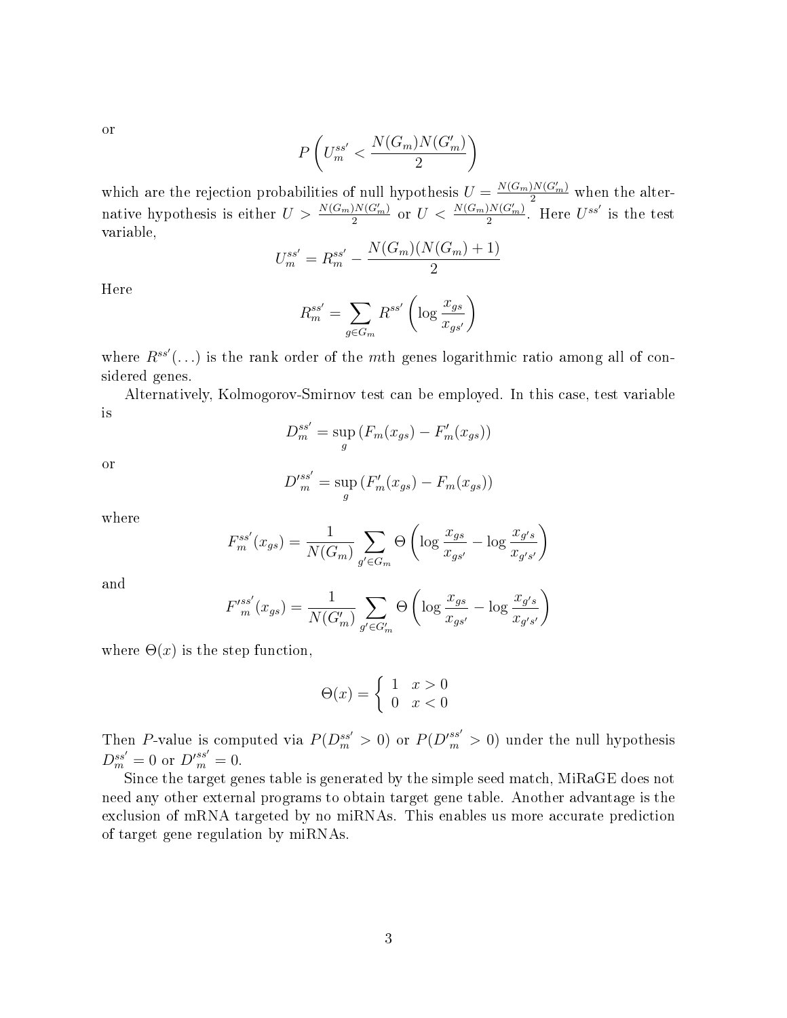or

$$
P\left(U_{m}^{ss'}<\frac{N(G_m)N(G_m')}{2}\right)
$$

which are the rejection probabilities of null hypothesis  $U = \frac{N(G_m)N(G'_m)}{2}$  when the alternative hypothesis is either  $U > \frac{N(G_m)N(G'_m)}{2}$  or  $U < \frac{N(G_m)N(G'_m)}{2}$ . Here  $U^{ss'}$  is the test variable,

$$
U_m^{ss'} = R_m^{ss'} - \frac{N(G_m)(N(G_m) + 1)}{2}
$$

Here

$$
R_m^{ss'} = \sum_{g \in G_m} R^{ss'} \left( \log \frac{x_{gs}}{x_{gs'}} \right)
$$

where  $R^{ss'}(...)$  is the rank order of the mth genes logarithmic ratio among all of considered genes.

Alternatively, Kolmogorov-Smirnov test can be employed. In this case, test variable is

$$
D_m^{ss'} = \sup_g \left( F_m(x_{gs}) - F'_m(x_{gs}) \right)
$$

or

$$
D'^{ss'}_{m} = \sup_{g} (F'_{m}(x_{gs}) - F_{m}(x_{gs}))
$$

where

$$
F_m^{ss'}(x_{gs}) = \frac{1}{N(G_m)} \sum_{g' \in G_m} \Theta\left(\log \frac{x_{gs}}{x_{gs'}} - \log \frac{x_{g's}}{x_{g's'}}\right)
$$

and

$$
F'^{ss'}_{m}(x_{gs}) = \frac{1}{N(G'_m)} \sum_{g' \in G'_m} \Theta \left( \log \frac{x_{gs}}{x_{gs'}} - \log \frac{x_{g's}}{x_{g's'}} \right)
$$

where  $\Theta(x)$  is the step function,

$$
\Theta(x) = \begin{cases} 1 & x > 0 \\ 0 & x < 0 \end{cases}
$$

Then P-value is computed via  $P(D_m^{ss'} > 0)$  or  $P(D_m'^{ss'} > 0)$  under the null hypothesis  $D_m^{ss'} = 0$  or  $D_m'^{ss'} = 0$ .

Since the target genes table is generated by the simple seed match, MiRaGE does not need any other external programs to obtain target gene table. Another advantage is the exclusion of mRNA targeted by no miRNAs. This enables us more accurate prediction of target gene regulation by miRNAs.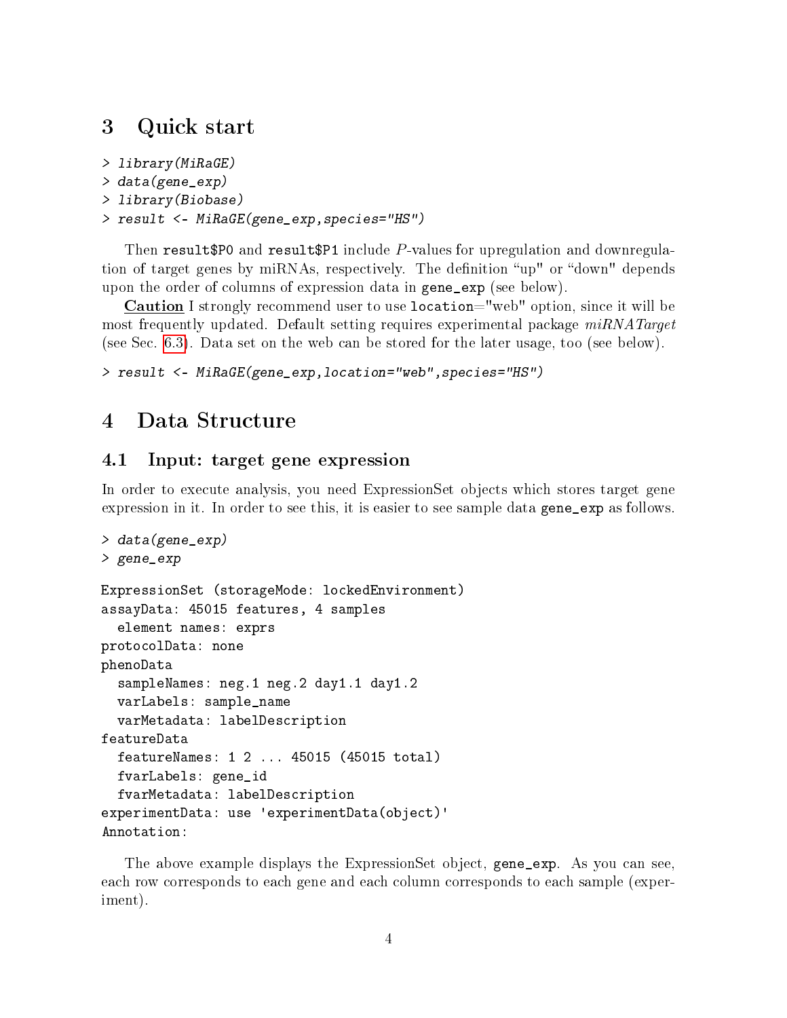### <span id="page-3-0"></span>3 Quick start

```
> library(MiRaGE)
> data(gene_exp)
> library(Biobase)
> result <- MiRaGE(gene_exp,species="HS")
```
Then result \$P0 and result \$P1 include P-values for upregulation and downregulation of target genes by miRNAs, respectively. The definition "up" or "down" depends upon the order of columns of expression data in gene\_exp (see below).

Caution I strongly recommend user to use location="web" option, since it will be most frequently updated. Default setting requires experimental package  $miRNATarget$ (see Sec. [6.3\)](#page-8-0). Data set on the web can be stored for the later usage, too (see below).

```
> result <- MiRaGE(gene_exp,location="web",species="HS")
```
## <span id="page-3-1"></span>4 Data Structure

### <span id="page-3-2"></span>4.1 Input: target gene expression

In order to execute analysis, you need ExpressionSet objects which stores target gene expression in it. In order to see this, it is easier to see sample data gene\_exp as follows.

```
> data(gene_exp)
> gene_exp
ExpressionSet (storageMode: lockedEnvironment)
assayData: 45015 features, 4 samples
  element names: exprs
protocolData: none
phenoData
  sampleNames: neg.1 neg.2 day1.1 day1.2
 varLabels: sample_name
  varMetadata: labelDescription
featureData
 featureNames: 1 2 ... 45015 (45015 total)
 fvarLabels: gene_id
 fvarMetadata: labelDescription
experimentData: use 'experimentData(object)'
Annotation:
```
The above example displays the ExpressionSet object, gene\_exp. As you can see, each row corresponds to each gene and each column corresponds to each sample (experiment).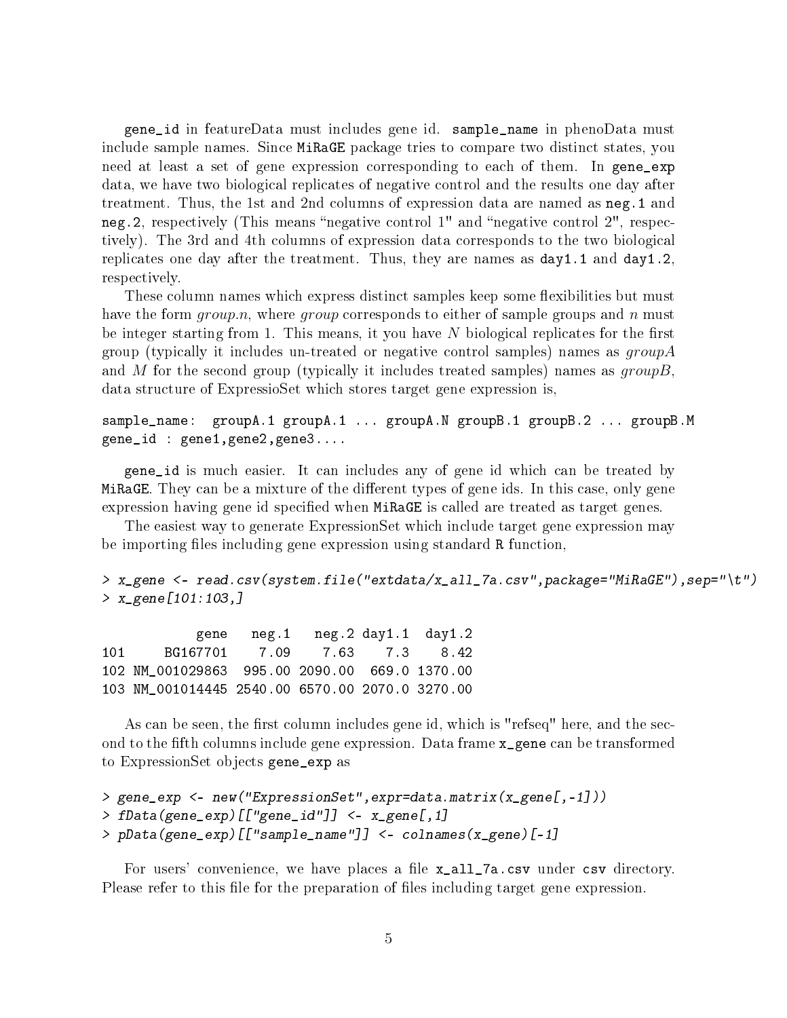gene\_id in featureData must includes gene id. sample\_name in phenoData must include sample names. Since MiRaGE package tries to compare two distinct states, you need at least a set of gene expression corresponding to each of them. In gene\_exp data, we have two biological replicates of negative control and the results one day after treatment. Thus, the 1st and 2nd columns of expression data are named as neg.1 and neg. 2, respectively (This means "negative control  $1$ " and "negative control  $2$ ", respectively). The 3rd and 4th columns of expression data corresponds to the two biological replicates one day after the treatment. Thus, they are names as day1.1 and day1.2, respectively.

These column names which express distinct samples keep some flexibilities but must have the form *group.n*, where *group* corresponds to either of sample groups and n must be integer starting from 1. This means, it you have  $N$  biological replicates for the first group (typically it includes un-treated or negative control samples) names as  $groupA$ and M for the second group (typically it includes treated samples) names as  $groupB$ . data structure of ExpressioSet which stores target gene expression is,

sample\_name: groupA.1 groupA.1 ... groupA.N groupB.1 groupB.2 ... groupB.M gene\_id : gene1,gene2,gene3....

gene\_id is much easier. It can includes any of gene id which can be treated by MiRaGE. They can be a mixture of the different types of gene ids. In this case, only gene expression having gene id specified when MiRaGE is called are treated as target genes.

The easiest way to generate ExpressionSet which include target gene expression may be importing files including gene expression using standard R function,

```
> x_gene <- read.csv(system.file("extdata/x_all_7a.csv",package="MiRaGE"),sep="\t")
> x_gene[101:103,]
```
gene neg.1 neg.2 day1.1 day1.2 101 BG167701 7.09 7.63 7.3 8.42 102 NM\_001029863 995.00 2090.00 669.0 1370.00 103 NM\_001014445 2540.00 6570.00 2070.0 3270.00

As can be seen, the first column includes gene id, which is "refseq" here, and the second to the fth columns include gene expression. Data frame x\_gene can be transformed to ExpressionSet objects gene\_exp as

```
> gene_exp <- new("ExpressionSet",expr=data.matrix(x_gene[,-1]))
> fData(gene_exp)[["gene_id"]] <- x_gene[,1]
> pData(gene_exp)[["sample_name"]] <- colnames(x_gene)[-1]
```
For users' convenience, we have places a file x\_all\_7a.csv under csv directory. Please refer to this file for the preparation of files including target gene expression.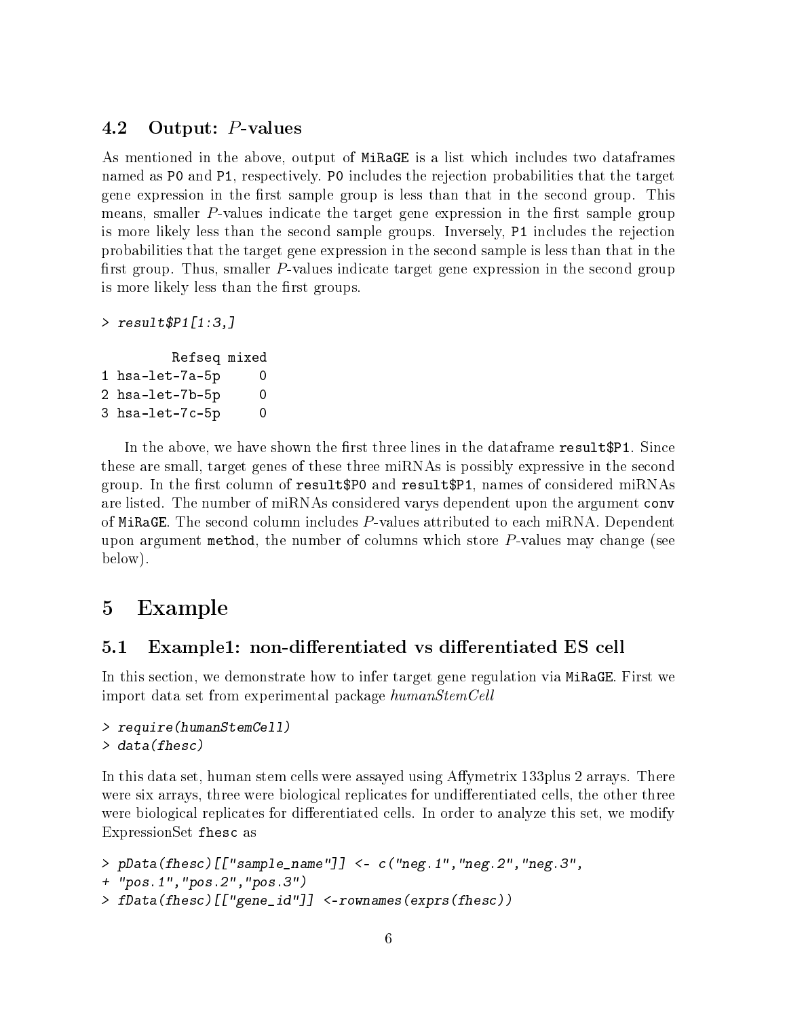### <span id="page-5-0"></span>4.2 Output: P-values

As mentioned in the above, output of MiRaGE is a list which includes two dataframes named as P0 and P1, respectively. P0 includes the rejection probabilities that the target gene expression in the first sample group is less than that in the second group. This means, smaller  $P$ -values indicate the target gene expression in the first sample group is more likely less than the second sample groups. Inversely, P1 includes the rejection probabilities that the target gene expression in the second sample is less than that in the first group. Thus, smaller  $P$ -values indicate target gene expression in the second group is more likely less than the first groups.

```
> result $P1[1:3,]
```

```
Refseq mixed
1 hsa-let-7a-5p 0
2 hsa-let-7b-5p 0
3 hsa-let-7c-5p 0
```
In the above, we have shown the first three lines in the dataframe result  $P1$ . Since these are small, target genes of these three miRNAs is possibly expressive in the second group. In the first column of result\$P0 and result\$P1, names of considered miRNAs are listed. The number of miRNAs considered varys dependent upon the argument conv of MiRaGE. The second column includes P-values attributed to each miRNA. Dependent upon argument method, the number of columns which store  $P$ -values may change (see below).

### <span id="page-5-1"></span>5 Example

### <span id="page-5-2"></span>5.1 Example1: non-differentiated vs differentiated ES cell

In this section, we demonstrate how to infer target gene regulation via MiRaGE. First we import data set from experimental package humanStemCell

```
> require(humanStemCell)
> data(fhesc)
```
In this data set, human stem cells were assayed using Affymetrix 133plus 2 arrays. There were six arrays, three were biological replicates for undifferentiated cells, the other three were biological replicates for differentiated cells. In order to analyze this set, we modify ExpressionSet fhesc as

```
> pData(fhesc)[["sample_name"]] <- c("neg.1","neg.2","neg.3",
+ "pos.1","pos.2","pos.3")
> fData(fhesc)[["gene_id"]] <-rownames(exprs(fhesc))
```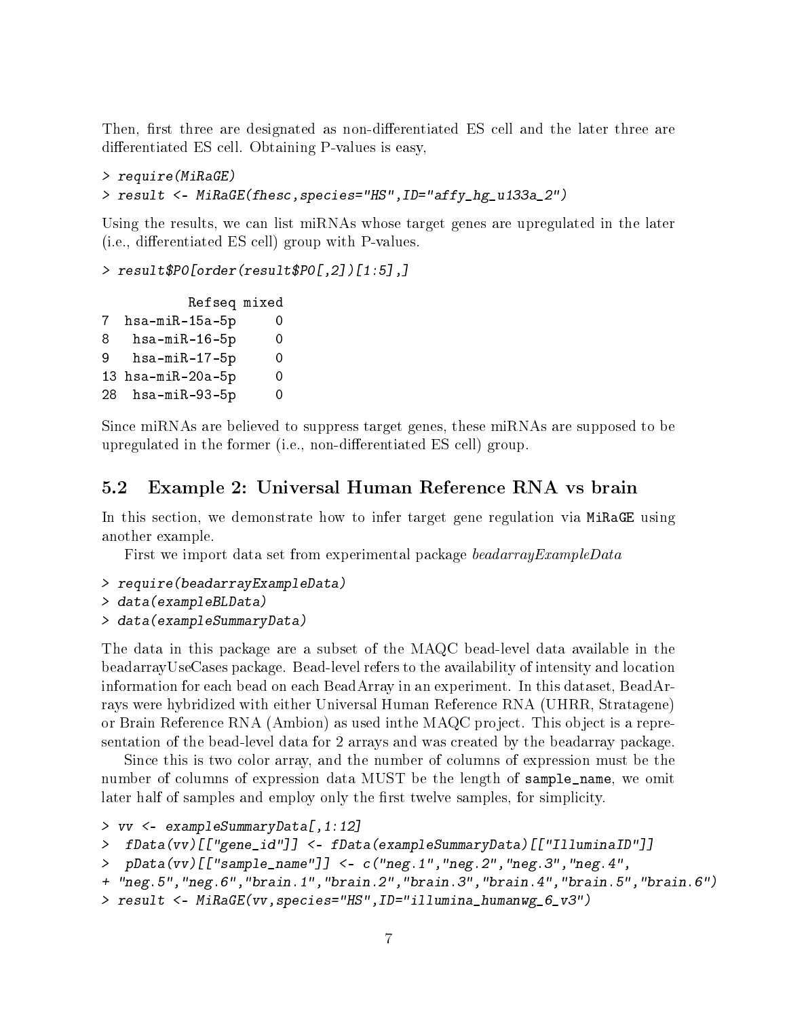Then, first three are designated as non-differentiated ES cell and the later three are differentiated ES cell. Obtaining P-values is easy,

```
> require(MiRaGE)
> result <- MiRaGE(fhesc,species="HS",ID="affy_hg_u133a_2")
```
Using the results, we can list miRNAs whose target genes are upregulated in the later  $(i.e., differential ES cell) group with P-values.$ 

```
> result$P0[order(result$P0[,2])[1:5],]
```

```
Refseq mixed
7 hsa-miR-15a-5p 0
8 hsa-miR-16-5p 0
9 hsa-miR-17-5p 0
13 hsa-miR-20a-5p 0
28 hsa-miR-93-5p 0
```
Since miRNAs are believed to suppress target genes, these miRNAs are supposed to be upregulated in the former (i.e., non-differentiated ES cell) group.

#### <span id="page-6-0"></span>5.2 Example 2: Universal Human Reference RNA vs brain

In this section, we demonstrate how to infer target gene regulation via MiRaGE using another example.

First we import data set from experimental package beadarrayExampleData

> require(beadarrayExampleData)

```
> data(exampleBLData)
```
> data(exampleSummaryData)

The data in this package are a subset of the MAQC bead-level data available in the beadarrayUseCases package. Bead-level refers to the availability of intensity and location information for each bead on each BeadArray in an experiment. In this dataset, BeadArrays were hybridized with either Universal Human Reference RNA (UHRR, Stratagene) or Brain Reference RNA (Ambion) as used inthe MAQC project. This object is a representation of the bead-level data for 2 arrays and was created by the beadarray package.

Since this is two color array, and the number of columns of expression must be the number of columns of expression data MUST be the length of sample\_name, we omit later half of samples and employ only the first twelve samples, for simplicity.

```
> vv <- exampleSummaryData[,1:12]
```

```
> fData(vv)[["gene_id"]] <- fData(exampleSummaryData)[["IlluminaID"]]
```

```
> pData(vv)[["sample_name"]] <- c("neg.1","neg.2","neg.3","neg.4",
```

```
+ "neg.5","neg.6","brain.1","brain.2","brain.3","brain.4","brain.5","brain.6")
```

```
> result <- MiRaGE(vv,species="HS",ID="illumina_humanwg_6_v3")
```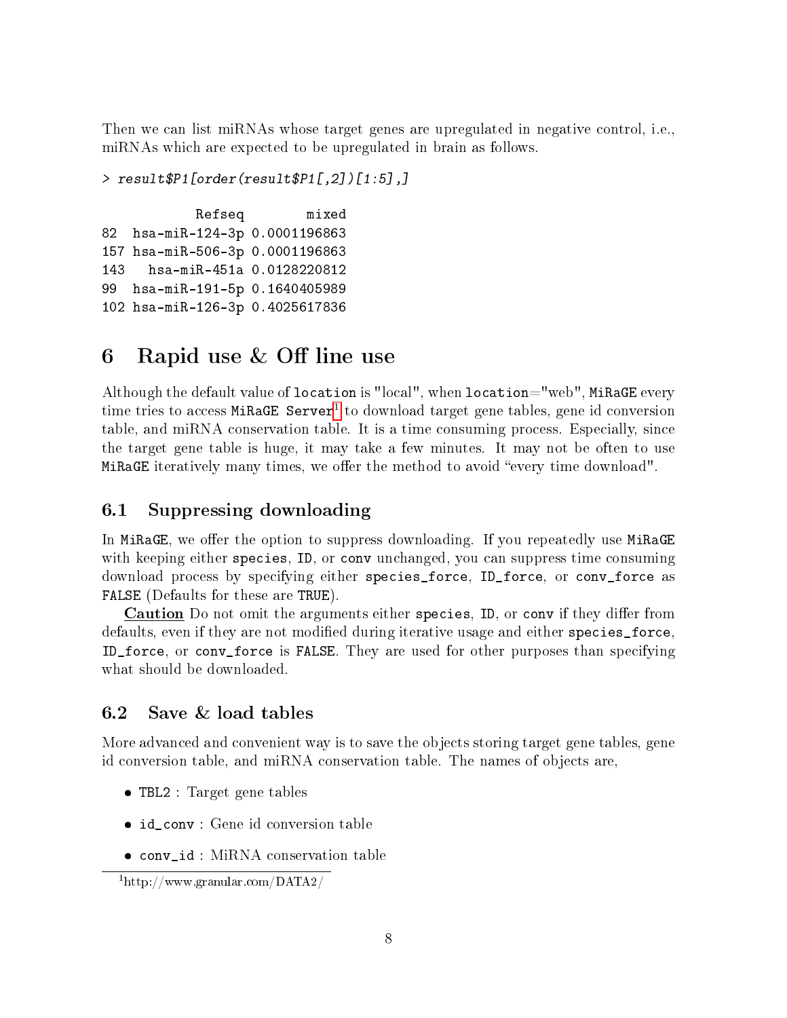Then we can list miRNAs whose target genes are upregulated in negative control, i.e., miRNAs which are expected to be upregulated in brain as follows.

```
> result$P1[order(result$P1[,2])[1:5],]
```
Refseq mixed 82 hsa-miR-124-3p 0.0001196863 157 hsa-miR-506-3p 0.0001196863 143 hsa-miR-451a 0.0128220812 99 hsa-miR-191-5p 0.1640405989 102 hsa-miR-126-3p 0.4025617836

## <span id="page-7-0"></span>6 Rapid use  $&$  Off line use

Although the default value of location is "local", when location="web", MiRaGE every time tries to access MiRaGE Server<sup>[1](#page-7-3)</sup> to download target gene tables, gene id conversion table, and miRNA conservation table. It is a time consuming process. Especially, since the target gene table is huge, it may take a few minutes. It may not be often to use MiRaGE iteratively many times, we offer the method to avoid "every time download".

### <span id="page-7-1"></span>6.1 Suppressing downloading

In MiRaGE, we offer the option to suppress downloading. If you repeatedly use MiRaGE with keeping either species, ID, or conv unchanged, you can suppress time consuming download process by specifying either species\_force, ID\_force, or conv\_force as FALSE (Defaults for these are TRUE).

**Caution** Do not omit the arguments either species, ID, or conv if they differ from defaults, even if they are not modified during iterative usage and either species\_force. ID\_force, or conv\_force is FALSE. They are used for other purposes than specifying what should be downloaded.

### <span id="page-7-2"></span>6.2 Save & load tables

More advanced and convenient way is to save the objects storing target gene tables, gene id conversion table, and miRNA conservation table. The names of objects are,

- TBL2 : Target gene tables
- id\_conv : Gene id conversion table
- conv\_id : MiRNA conservation table

<span id="page-7-3"></span><sup>1</sup>http://www.granular.com/DATA2/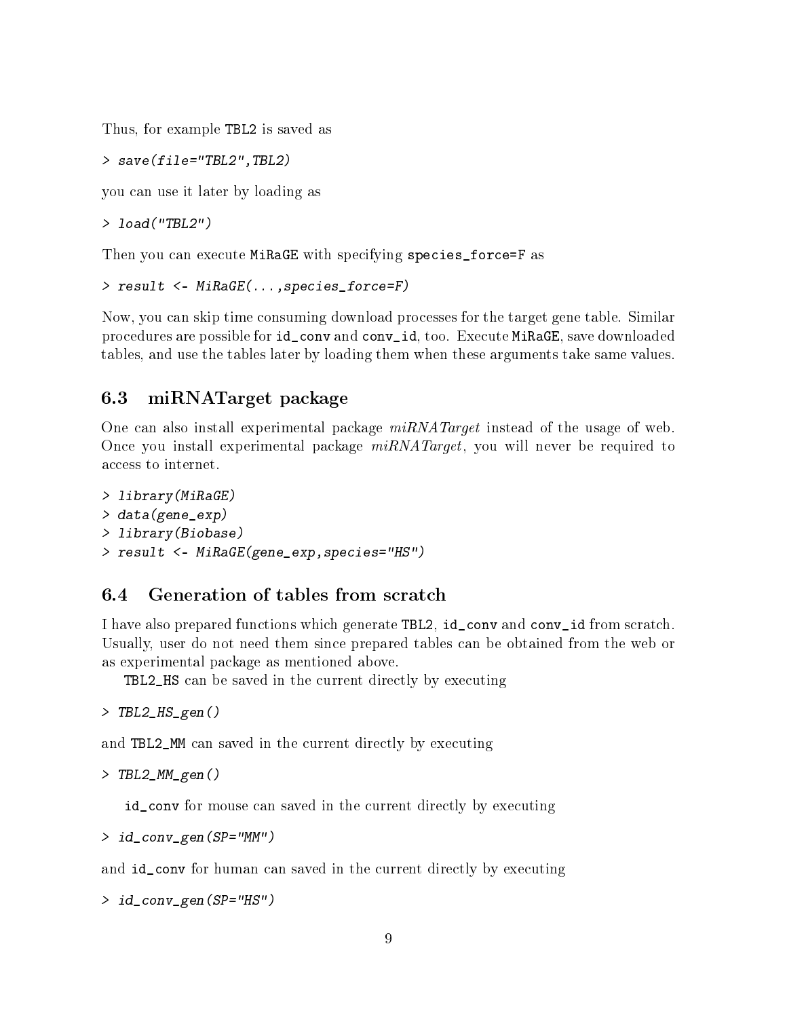Thus, for example TBL2 is saved as

> save(file="TBL2",TBL2)

you can use it later by loading as

> load("TBL2")

Then you can execute MiRaGE with specifying species\_force=F as

```
> result <- MiRaGE(...,species_force=F)
```
Now, you can skip time consuming download processes for the target gene table. Similar procedures are possible for id\_conv and conv\_id, too. Execute MiRaGE, save downloaded tables, and use the tables later by loading them when these arguments take same values.

### <span id="page-8-0"></span>6.3 miRNATarget package

One can also install experimental package  $miRNATarget$  instead of the usage of web. Once you install experimental package  $miRNATarget$ , you will never be required to access to internet.

```
> library(MiRaGE)
> data(gene_exp)
> library(Biobase)
> result <- MiRaGE(gene_exp,species="HS")
```
### <span id="page-8-1"></span>6.4 Generation of tables from scratch

I have also prepared functions which generate TBL2, id\_conv and conv\_id from scratch. Usually, user do not need them since prepared tables can be obtained from the web or as experimental package as mentioned above.

TBL2\_HS can be saved in the current directly by executing

> TBL2\_HS\_gen()

and TBL2\_MM can saved in the current directly by executing

```
> TBL2_MM_gen()
```
id\_conv for mouse can saved in the current directly by executing

> id\_conv\_gen(SP="MM")

and id\_conv for human can saved in the current directly by executing

> id\_conv\_gen(SP="HS")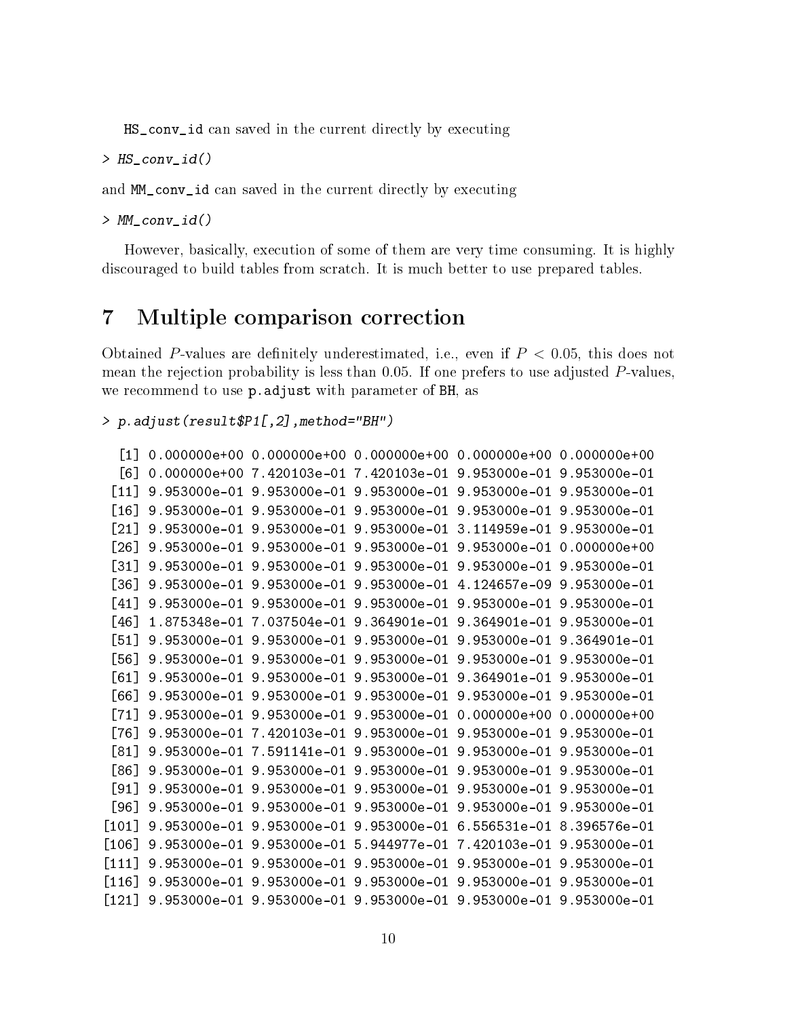HS\_conv\_id can saved in the current directly by executing

> HS\_conv\_id()

and MM\_conv\_id can saved in the current directly by executing

> MM\_conv\_id()

However, basically, execution of some of them are very time consuming. It is highly discouraged to build tables from scratch. It is much better to use prepared tables.

### <span id="page-9-0"></span>7 Multiple comparison correction

Obtained P-values are definitely underestimated, i.e., even if  $P < 0.05$ , this does not mean the rejection probability is less than 0.05. If one prefers to use adjusted P-values, we recommend to use p.adjust with parameter of BH, as

> p.adjust(result\$P1[,2],method="BH")

```
[1] 0.000000e+00 0.000000e+00 0.000000e+00 0.000000e+00 0.000000e+00
 [6] 0.000000e+00 7.420103e-01 7.420103e-01 9.953000e-01 9.953000e-01
[11] 9.953000e-01 9.953000e-01 9.953000e-01 9.953000e-01 9.953000e-01
[16] 9.953000e-01 9.953000e-01 9.953000e-01 9.953000e-01 9.953000e-01
[21] 9.953000e-01 9.953000e-01 9.953000e-01 3.114959e-01 9.953000e-01
[26] 9.953000e-01 9.953000e-01 9.953000e-01 9.953000e-01 0.000000e+00
[31] 9.953000e-01 9.953000e-01 9.953000e-01 9.953000e-01 9.953000e-01
[36] 9.953000e-01 9.953000e-01 9.953000e-01 4.124657e-09 9.953000e-01
[41] 9.953000e-01 9.953000e-01 9.953000e-01 9.953000e-01 9.953000e-01
[46] 1.875348e-01 7.037504e-01 9.364901e-01 9.364901e-01 9.953000e-01
[51] 9.953000e-01 9.953000e-01 9.953000e-01 9.953000e-01 9.364901e-01
[56] 9.953000e-01 9.953000e-01 9.953000e-01 9.953000e-01 9.953000e-01
[61] 9.953000e-01 9.953000e-01 9.953000e-01 9.364901e-01 9.953000e-01
[66] 9.953000e-01 9.953000e-01 9.953000e-01 9.953000e-01 9.953000e-01
[71] 9.953000e-01 9.953000e-01 9.953000e-01 0.000000e+00 0.000000e+00
[76] 9.953000e-01 7.420103e-01 9.953000e-01 9.953000e-01 9.953000e-01
[81] 9.953000e-01 7.591141e-01 9.953000e-01 9.953000e-01 9.953000e-01
[86] 9.953000e-01 9.953000e-01 9.953000e-01 9.953000e-01 9.953000e-01
[91] 9.953000e-01 9.953000e-01 9.953000e-01 9.953000e-01 9.953000e-01
[96] 9.953000e-01 9.953000e-01 9.953000e-01 9.953000e-01 9.953000e-01
[101] 9.953000e-01 9.953000e-01 9.953000e-01 6.556531e-01 8.396576e-01
[106] 9.953000e-01 9.953000e-01 5.944977e-01 7.420103e-01 9.953000e-01
[111] 9.953000e-01 9.953000e-01 9.953000e-01 9.953000e-01 9.953000e-01
[116] 9.953000e-01 9.953000e-01 9.953000e-01 9.953000e-01 9.953000e-01
[121] 9.953000e-01 9.953000e-01 9.953000e-01 9.953000e-01 9.953000e-01
```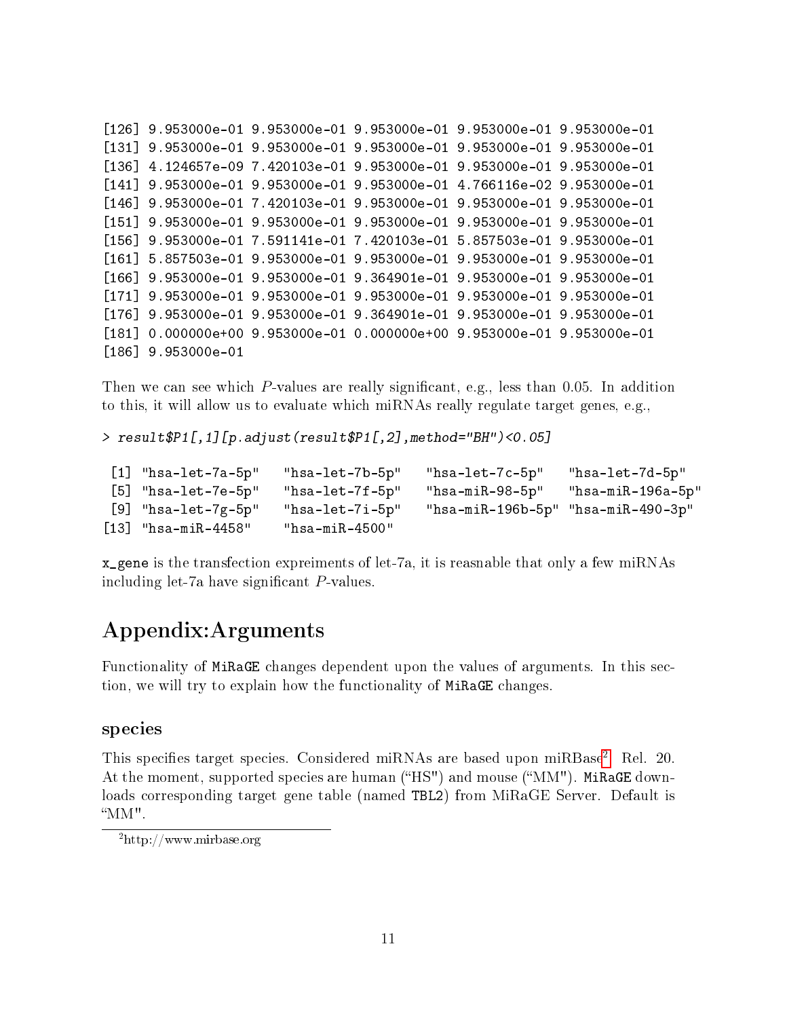```
[126] 9.953000e-01 9.953000e-01 9.953000e-01 9.953000e-01 9.953000e-01
[131] 9.953000e-01 9.953000e-01 9.953000e-01 9.953000e-01 9.953000e-01
[136] 4.124657e-09 7.420103e-01 9.953000e-01 9.953000e-01 9.953000e-01
[141] 9.953000e-01 9.953000e-01 9.953000e-01 4.766116e-02 9.953000e-01
[146] 9.953000e-01 7.420103e-01 9.953000e-01 9.953000e-01 9.953000e-01
[151] 9.953000e-01 9.953000e-01 9.953000e-01 9.953000e-01 9.953000e-01
[156] 9.953000e-01 7.591141e-01 7.420103e-01 5.857503e-01 9.953000e-01
[161] 5.857503e-01 9.953000e-01 9.953000e-01 9.953000e-01 9.953000e-01
[166] 9.953000e-01 9.953000e-01 9.364901e-01 9.953000e-01 9.953000e-01
[171] 9.953000e-01 9.953000e-01 9.953000e-01 9.953000e-01 9.953000e-01
[176] 9.953000e-01 9.953000e-01 9.364901e-01 9.953000e-01 9.953000e-01
[181] 0.000000e+00 9.953000e-01 0.000000e+00 9.953000e-01 9.953000e-01
[186] 9.953000e-01
```
Then we can see which P-values are really significant, e.g., less than 0.05. In addition to this, it will allow us to evaluate which miRNAs really regulate target genes, e.g.,

> result\$P1[,1][p.adjust(result\$P1[,2],method="BH")<0.05]

```
[1] "hsa-let-7a-5p" "hsa-let-7b-5p" "hsa-let-7c-5p" "hsa-let-7d-5p"
[5] "hsa-let-7e-5p" "hsa-let-7f-5p" "hsa-miR-98-5p" "hsa-miR-196a-5p"
[9] "hsa-let-7g-5p" "hsa-let-7i-5p" "hsa-miR-196b-5p" "hsa-miR-490-3p"
[13] "hsa-miR-4458" "hsa-miR-4500"
```
x\_gene is the transfection expreiments of let-7a, it is reasnable that only a few miRNAs including let-7a have significant  $P$ -values.

### Appendix:Arguments

Functionality of MiRaGE changes dependent upon the values of arguments. In this section, we will try to explain how the functionality of MiRaGE changes.

#### species

This specifies target species. Considered miRNAs are based upon miRBase<sup>[2](#page-10-0)</sup>. Rel. 20. At the moment, supported species are human ("HS") and mouse (" $MM"$ ). MiRaGE downloads corresponding target gene table (named TBL2) from MiRaGE Server. Default is MM".

<span id="page-10-0"></span><sup>2</sup>http://www.mirbase.org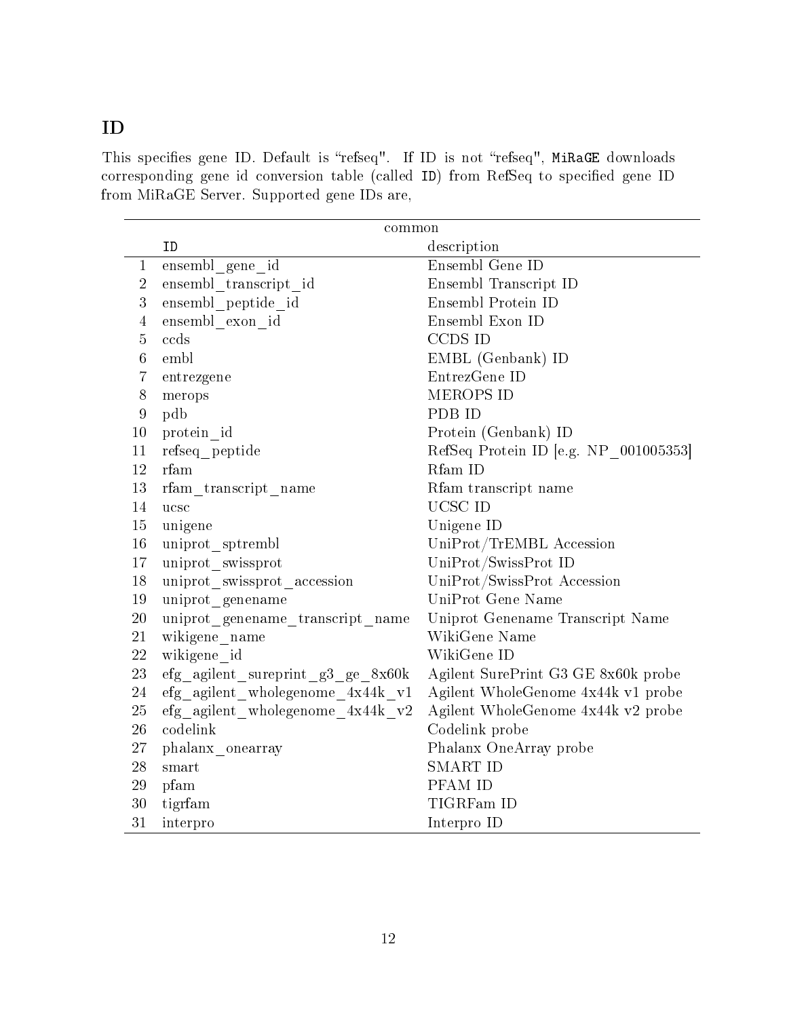### ID

This specifies gene ID. Default is "refseq". If ID is not "refseq", MiRaGE downloads corresponding gene id conversion table (called ID) from RefSeq to specified gene ID from MiRaGE Server. Supported gene IDs are,

|                  | common                                          |                                       |  |
|------------------|-------------------------------------------------|---------------------------------------|--|
|                  | ID                                              | description                           |  |
| $\mathbf{1}$     | ensembl gene id                                 | Ensembl Gene ID                       |  |
| $\overline{2}$   | ensembl transcript id                           | Ensembl Transcript ID                 |  |
| $\overline{3}$   | ensembl peptide id                              | Ensembl Protein ID                    |  |
| $\overline{4}$   | ensembl exon id                                 | Ensembl Exon ID                       |  |
| $\overline{5}$   | ccds                                            | CCDS ID                               |  |
| $6\phantom{.}6$  | embl                                            | EMBL (Genbank) ID                     |  |
| 7                | entrezgene                                      | EntrezGene ID                         |  |
| $8\,$            | merops                                          | MEROPS ID                             |  |
| $\boldsymbol{9}$ | pdb                                             | PDB ID                                |  |
| 10               | protein id                                      | Protein (Genbank) ID                  |  |
| 11               | refseq peptide                                  | RefSeq Protein ID [e.g. NP 001005353] |  |
| 12               | rfam                                            | Rfam ID                               |  |
| 13               | rfam transcript name                            | Rfam transcript name                  |  |
| 14               | ucsc                                            | UCSC ID                               |  |
| $15\,$           | unigene                                         | Unigene ID                            |  |
| $16\,$           | uniprot sptrembl                                | UniProt/TrEMBL Accession              |  |
| 17               | uniprot swissprot                               | UniProt/SwissProt ID                  |  |
| 18               | uniprot swissprot accession                     | UniProt/SwissProt Accession           |  |
| 19               | uniprot genename                                | UniProt Gene Name                     |  |
| $20\,$           | uniprot genename transcript name                | Uniprot Genename Transcript Name      |  |
| 21               | wikigene name                                   | WikiGene Name                         |  |
| $22\,$           | wikigene id                                     | WikiGene ID                           |  |
| $23\,$           | $\text{efg\_agilent\_sureprint\_g3\_ge\_8x60k}$ | Agilent SurePrint G3 GE 8x60k probe   |  |
| 24               | efg agilent wholegenome 4x44k v1                | Agilent WholeGenome 4x44k v1 probe    |  |
| $25\,$           | efg agilent wholegenome 4x44k v2                | Agilent WholeGenome 4x44k v2 probe    |  |
| 26               | codelink                                        | Codelink probe                        |  |
| $27\,$           | phalanx_onearray                                | Phalanx OneArray probe                |  |
| 28               | smart                                           | <b>SMART ID</b>                       |  |
| 29               | pfam                                            | PFAM ID                               |  |
| $30\,$           | tigrfam                                         | TIGRFam ID                            |  |
| 31               | interpro                                        | Interpro ID                           |  |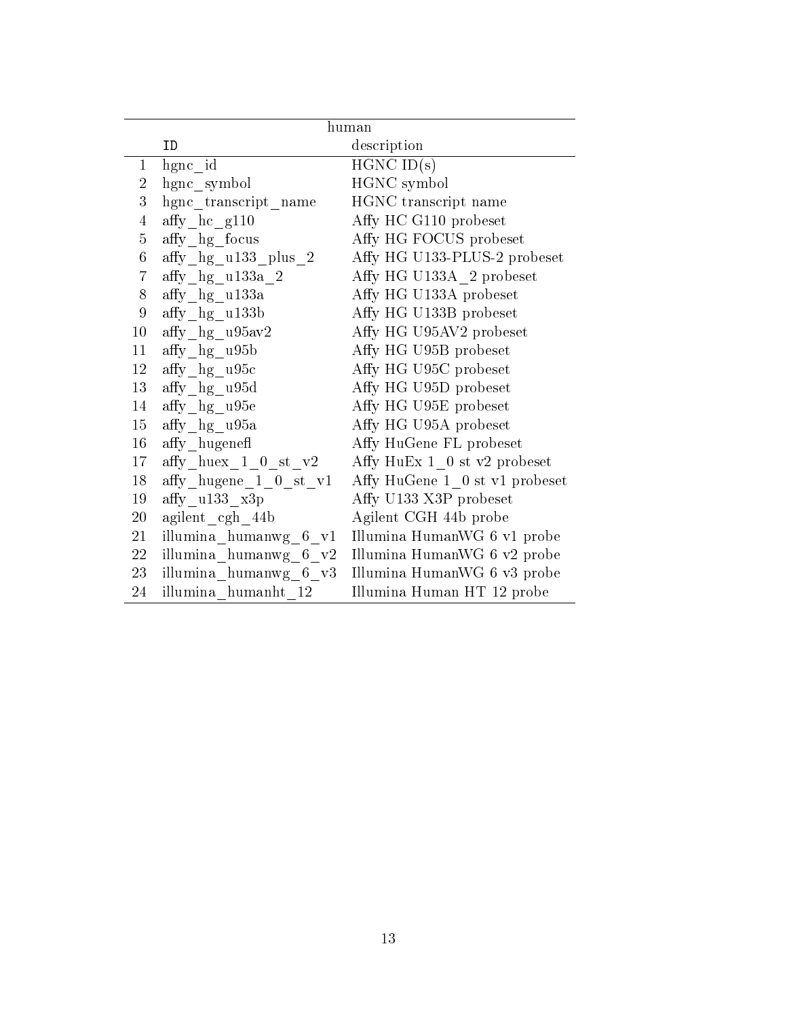|                | human                              |                                |  |
|----------------|------------------------------------|--------------------------------|--|
|                | ID                                 | description                    |  |
| $\mathbf 1$    | hgnc id                            | $HGNC$ ID $(s)$                |  |
| $\overline{2}$ | hgnc symbol                        | HGNC symbol                    |  |
| 3              | hgnc transcript name               | HGNC transcript name           |  |
| $\overline{4}$ | affy hc g110                       | Affy HC G110 probeset          |  |
| $\overline{5}$ | affy hg focus                      | Affy HG FOCUS probeset         |  |
| $6\,$          | affy hg u133 plus 2                | Affy HG U133-PLUS-2 probeset   |  |
| $\overline{7}$ | affy $hg$ ul $33a$ 2               | Affy HG U133A 2 probeset       |  |
| 8              | affy hg u133a                      | Affy HG U133A probeset         |  |
| $\overline{9}$ | $affy_{lag}$ ull $33b$             | Affy HG U133B probeset         |  |
| 10             | affy hg u95av2                     | Affy HG U95AV2 probeset        |  |
| 11             | affy hg u95b                       | Affy HG U95B probeset          |  |
| 12             | affy hg u95c                       | Affy HG U95C probeset          |  |
| 13             | $affy_hg_u95d$                     | Affy HG U95D probeset          |  |
| 14             | affy hg u95e                       | Affy HG U95E probeset          |  |
| 15             | affy hg u95a                       | Affy HG U95A probeset          |  |
| 16             | affy hugenefl                      | Affy HuGene FL probeset        |  |
| 17             | $affy_{\_\}$ huex $\_1\_0\_st\_v2$ | Affy HuEx $1_0$ st v2 probeset |  |
| 18             | affy hugene 1 0 st v1              | Affy HuGene 1 0 st v1 probeset |  |
| 19             | affy u133 x3p                      | Affy U133 X3P probeset         |  |
| 20             | agilent cgh 44b                    | Agilent CGH 44b probe          |  |
| 21             | illumina humanwg 6 v1              | Illumina HumanWG 6 v1 probe    |  |
| 22             | illumina humanwg 6 v2              | Illumina HumanWG 6 v2 probe    |  |
| 23             | illumina humanwg 6 v3              | Illumina HumanWG 6 v3 probe    |  |
| 24             | illumina humanht 12                | Illumina Human HT 12 probe     |  |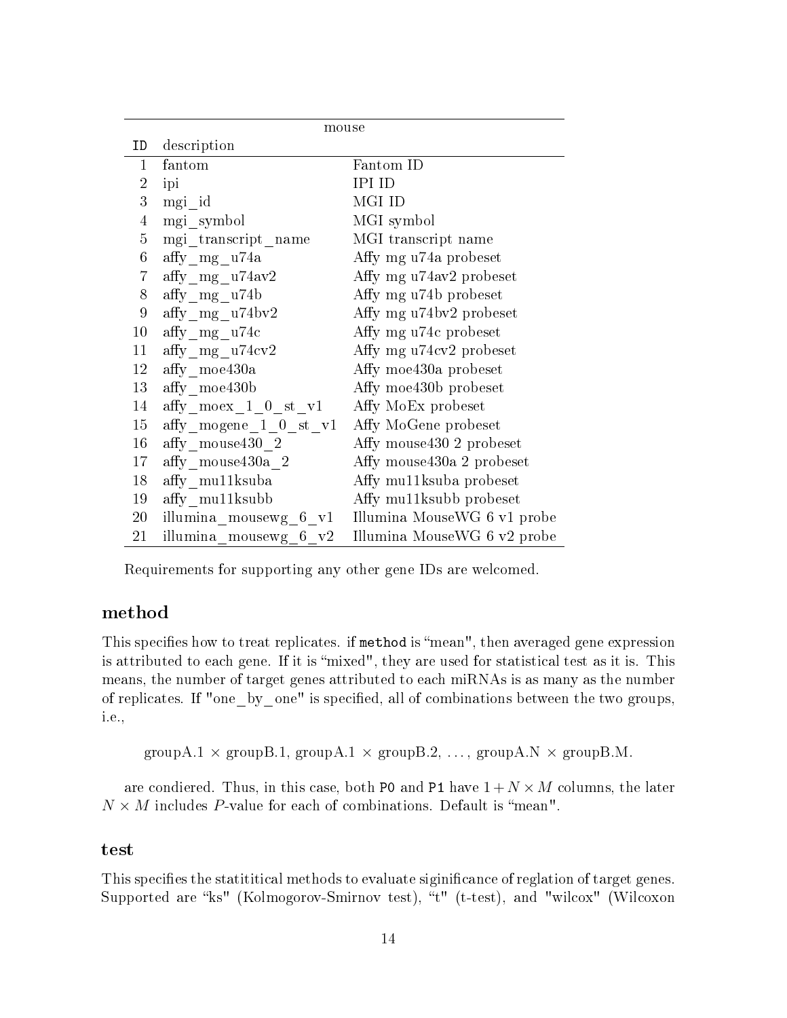| mouse            |                                     |                                                   |  |  |
|------------------|-------------------------------------|---------------------------------------------------|--|--|
| ID               | description                         |                                                   |  |  |
| $\mathbf{1}$     | fantom                              | Fantom ID                                         |  |  |
| $\overline{2}$   | ipi                                 | <b>IPI ID</b>                                     |  |  |
| 3                | mgi id                              | MGI ID                                            |  |  |
| $\overline{4}$   | mgi_symbol                          | MGI symbol                                        |  |  |
| 5                | mgi transcript name                 | MGI transcript name                               |  |  |
| $6\phantom{.0}$  | affy mg u74a                        | Affy mg u74a probeset                             |  |  |
| $\overline{7}$   | affy mg $u74av2$                    | Affy mg u74av2 probeset                           |  |  |
| 8                | affy mg u74b                        | Affy mg u74b probeset                             |  |  |
| $\boldsymbol{9}$ | affy mg u74bv2                      | Affy mg u74bv2 probeset                           |  |  |
| $10\,$           | affy mg u74c                        | Affy mg u74c probeset                             |  |  |
| 11               | affy $mg$ u74 $cv2$                 | Affy mg u74cv2 probeset                           |  |  |
| 12               | affy moe430a                        | Affy moe430a probeset                             |  |  |
| 13               | affy moe430b                        | Affy moe430b probeset                             |  |  |
| 14               | $\mathrm{affy\_moex\_1\_0\_st\_v1}$ | Affy MoEx probeset                                |  |  |
| 15               | affy mogene $1 \t 0 \t st \t v1$    | Affy MoGene probeset                              |  |  |
| 16               | affy mouse 430 2                    | Affy mouse 430 2 probeset                         |  |  |
| 17               | affy mouse 430a 2                   | Affy mouse 430a 2 probeset                        |  |  |
| 18               | affy mullksuba                      | Affy mullksuba probeset                           |  |  |
| 19               | affy mu <sub>11</sub> ksubb         | Affy mullksubb probeset                           |  |  |
| 20               |                                     | illumina mousewg 6 v1 Illumina MouseWG 6 v1 probe |  |  |
| 21               | illumina_mousewg_6_v2               | Illumina MouseWG 6 v2 probe                       |  |  |

Requirements for supporting any other gene IDs are welcomed.

#### method

This specifies how to treat replicates. if method is "mean", then averaged gene expression is attributed to each gene. If it is "mixed", they are used for statistical test as it is. This means, the number of target genes attributed to each miRNAs is as many as the number of replicates. If "one\_by\_one" is specified, all of combinations between the two groups, i.e.,

groupA.1  $\times$  groupB.1, groupA.1  $\times$  groupB.2, ..., groupA.N  $\times$  groupB.M.

are condiered. Thus, in this case, both P0 and P1 have  $1 + N \times M$  columns, the later  $N \times M$  includes P-value for each of combinations. Default is "mean".

#### test

This specifies the statititical methods to evaluate siginificance of reglation of target genes. Supported are "ks" (Kolmogorov-Smirnov test), "t" (t-test), and "wilcox" (Wilcoxon